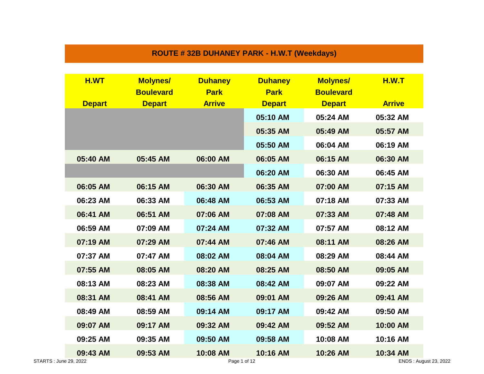## **ROUTE # 32B DUHANEY PARK - H.W.T (Weekdays)**

| <b>Boulevard</b><br><b>Park</b><br><b>Boulevard</b><br><b>Park</b><br><b>Arrive</b><br><b>Depart</b><br><b>Depart</b><br><b>Depart</b><br><b>Depart</b><br>05:10 AM<br>05:24 AM | <b>Arrive</b><br>05:32 AM<br>05:57 AM |
|---------------------------------------------------------------------------------------------------------------------------------------------------------------------------------|---------------------------------------|
|                                                                                                                                                                                 |                                       |
|                                                                                                                                                                                 |                                       |
|                                                                                                                                                                                 |                                       |
| 05:35 AM<br>05:49 AM                                                                                                                                                            |                                       |
| 05:50 AM<br>06:04 AM                                                                                                                                                            | 06:19 AM                              |
| 06:00 AM<br>06:05 AM<br>06:15 AM<br>05:40 AM<br>05:45 AM                                                                                                                        | 06:30 AM                              |
| 06:20 AM<br>06:30 AM                                                                                                                                                            | 06:45 AM                              |
| 06:05 AM<br>06:15 AM<br>06:30 AM<br>06:35 AM<br>07:00 AM                                                                                                                        | 07:15 AM                              |
| 06:23 AM<br>06:33 AM<br>06:48 AM<br>06:53 AM<br>07:18 AM                                                                                                                        | 07:33 AM                              |
| 06:41 AM<br>06:51 AM<br>07:08 AM<br>07:06 AM<br>07:33 AM                                                                                                                        | 07:48 AM                              |
| 06:59 AM<br>07:09 AM<br>07:24 AM<br>07:32 AM<br>07:57 AM                                                                                                                        | 08:12 AM                              |
| 07:19 AM<br>07:29 AM<br>07:46 AM<br>08:11 AM<br>07:44 AM                                                                                                                        | 08:26 AM                              |
| 07:37 AM<br>07:47 AM<br>08:02 AM<br>08:04 AM<br>08:29 AM                                                                                                                        | 08:44 AM                              |
| 07:55 AM<br>08:25 AM<br>08:05 AM<br>08:20 AM<br>08:50 AM                                                                                                                        | 09:05 AM                              |
| 08:13 AM<br>08:23 AM<br>08:38 AM<br>08:42 AM<br>09:07 AM                                                                                                                        | 09:22 AM                              |
| 08:31 AM<br>09:01 AM<br>09:26 AM<br>08:41 AM<br>08:56 AM                                                                                                                        | 09:41 AM                              |
| 08:49 AM<br>08:59 AM<br>09:14 AM<br>09:17 AM<br>09:42 AM                                                                                                                        | 09:50 AM                              |
| 09:07 AM<br>09:17 AM<br>09:32 AM<br>09:42 AM<br>09:52 AM                                                                                                                        | 10:00 AM                              |
| 09:25 AM<br>09:35 AM<br>09:50 AM<br>09:58 AM<br>10:08 AM                                                                                                                        | 10:16 AM                              |
| 10:08 AM<br>10:16 AM<br>09:53 AM<br>10:26 AM<br>09:43 AM                                                                                                                        | 10:34 AM<br>ENDS: August 23, 2022     |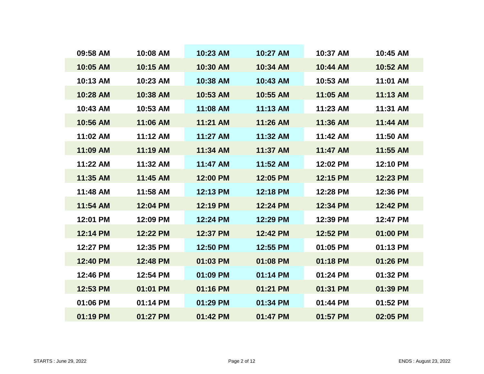| 09:58 AM | 10:08 AM | 10:23 AM | 10:27 AM | 10:37 AM | 10:45 AM |
|----------|----------|----------|----------|----------|----------|
| 10:05 AM | 10:15 AM | 10:30 AM | 10:34 AM | 10:44 AM | 10:52 AM |
| 10:13 AM | 10:23 AM | 10:38 AM | 10:43 AM | 10:53 AM | 11:01 AM |
| 10:28 AM | 10:38 AM | 10:53 AM | 10:55 AM | 11:05 AM | 11:13 AM |
| 10:43 AM | 10:53 AM | 11:08 AM | 11:13 AM | 11:23 AM | 11:31 AM |
| 10:56 AM | 11:06 AM | 11:21 AM | 11:26 AM | 11:36 AM | 11:44 AM |
| 11:02 AM | 11:12 AM | 11:27 AM | 11:32 AM | 11:42 AM | 11:50 AM |
| 11:09 AM | 11:19 AM | 11:34 AM | 11:37 AM | 11:47 AM | 11:55 AM |
| 11:22 AM | 11:32 AM | 11:47 AM | 11:52 AM | 12:02 PM | 12:10 PM |
| 11:35 AM | 11:45 AM | 12:00 PM | 12:05 PM | 12:15 PM | 12:23 PM |
| 11:48 AM | 11:58 AM | 12:13 PM | 12:18 PM | 12:28 PM | 12:36 PM |
| 11:54 AM | 12:04 PM | 12:19 PM | 12:24 PM | 12:34 PM | 12:42 PM |
| 12:01 PM | 12:09 PM | 12:24 PM | 12:29 PM | 12:39 PM | 12:47 PM |
| 12:14 PM | 12:22 PM | 12:37 PM | 12:42 PM | 12:52 PM | 01:00 PM |
| 12:27 PM | 12:35 PM | 12:50 PM | 12:55 PM | 01:05 PM | 01:13 PM |
| 12:40 PM | 12:48 PM | 01:03 PM | 01:08 PM | 01:18 PM | 01:26 PM |
| 12:46 PM | 12:54 PM | 01:09 PM | 01:14 PM | 01:24 PM | 01:32 PM |
| 12:53 PM | 01:01 PM | 01:16 PM | 01:21 PM | 01:31 PM | 01:39 PM |
| 01:06 PM | 01:14 PM | 01:29 PM | 01:34 PM | 01:44 PM | 01:52 PM |
| 01:19 PM | 01:27 PM | 01:42 PM | 01:47 PM | 01:57 PM | 02:05 PM |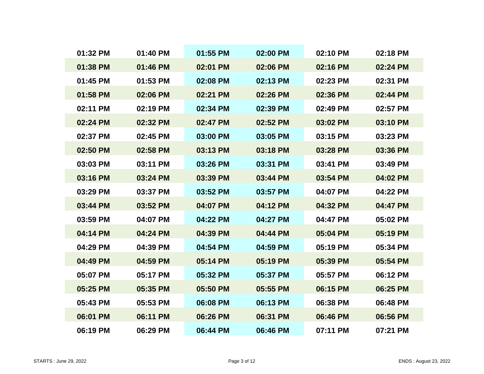| 01:32 PM | 01:40 PM | 01:55 PM | 02:00 PM | 02:10 PM | 02:18 PM |
|----------|----------|----------|----------|----------|----------|
| 01:38 PM | 01:46 PM | 02:01 PM | 02:06 PM | 02:16 PM | 02:24 PM |
| 01:45 PM | 01:53 PM | 02:08 PM | 02:13 PM | 02:23 PM | 02:31 PM |
| 01:58 PM | 02:06 PM | 02:21 PM | 02:26 PM | 02:36 PM | 02:44 PM |
| 02:11 PM | 02:19 PM | 02:34 PM | 02:39 PM | 02:49 PM | 02:57 PM |
| 02:24 PM | 02:32 PM | 02:47 PM | 02:52 PM | 03:02 PM | 03:10 PM |
| 02:37 PM | 02:45 PM | 03:00 PM | 03:05 PM | 03:15 PM | 03:23 PM |
| 02:50 PM | 02:58 PM | 03:13 PM | 03:18 PM | 03:28 PM | 03:36 PM |
| 03:03 PM | 03:11 PM | 03:26 PM | 03:31 PM | 03:41 PM | 03:49 PM |
| 03:16 PM | 03:24 PM | 03:39 PM | 03:44 PM | 03:54 PM | 04:02 PM |
| 03:29 PM | 03:37 PM | 03:52 PM | 03:57 PM | 04:07 PM | 04:22 PM |
| 03:44 PM | 03:52 PM | 04:07 PM | 04:12 PM | 04:32 PM | 04:47 PM |
| 03:59 PM | 04:07 PM | 04:22 PM | 04:27 PM | 04:47 PM | 05:02 PM |
| 04:14 PM | 04:24 PM | 04:39 PM | 04:44 PM | 05:04 PM | 05:19 PM |
| 04:29 PM | 04:39 PM | 04:54 PM | 04:59 PM | 05:19 PM | 05:34 PM |
| 04:49 PM | 04:59 PM | 05:14 PM | 05:19 PM | 05:39 PM | 05:54 PM |
| 05:07 PM | 05:17 PM | 05:32 PM | 05:37 PM | 05:57 PM | 06:12 PM |
| 05:25 PM | 05:35 PM | 05:50 PM | 05:55 PM | 06:15 PM | 06:25 PM |
| 05:43 PM | 05:53 PM | 06:08 PM | 06:13 PM | 06:38 PM | 06:48 PM |
| 06:01 PM | 06:11 PM | 06:26 PM | 06:31 PM | 06:46 PM | 06:56 PM |
| 06:19 PM | 06:29 PM | 06:44 PM | 06:46 PM | 07:11 PM | 07:21 PM |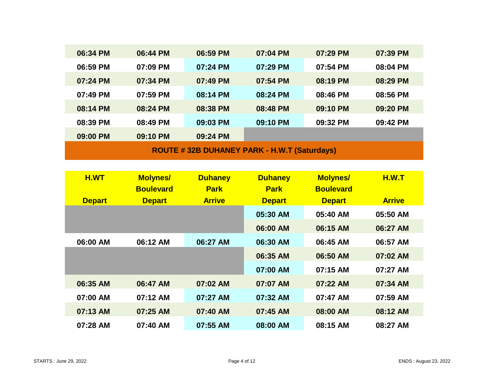| 06:34 PM                                    | 06:44 PM | 06:59 PM | 07:04 PM | 07:29 PM | 07:39 PM |  |  |  |
|---------------------------------------------|----------|----------|----------|----------|----------|--|--|--|
| 06:59 PM                                    | 07:09 PM | 07:24 PM | 07:29 PM | 07:54 PM | 08:04 PM |  |  |  |
| 07:24 PM                                    | 07:34 PM | 07:49 PM | 07:54 PM | 08:19 PM | 08:29 PM |  |  |  |
| 07:49 PM                                    | 07:59 PM | 08:14 PM | 08:24 PM | 08:46 PM | 08:56 PM |  |  |  |
| 08:14 PM                                    | 08:24 PM | 08:38 PM | 08:48 PM | 09:10 PM | 09:20 PM |  |  |  |
| 08:39 PM                                    | 08:49 PM | 09:03 PM | 09:10 PM | 09:32 PM | 09:42 PM |  |  |  |
| 09:00 PM                                    | 09:10 PM | 09:24 PM |          |          |          |  |  |  |
| ROUTE #32B DUHANEY PARK - H.W.T (Saturdays) |          |          |          |          |          |  |  |  |

| H.WT          | <b>Molynes/</b>  | <b>Duhaney</b> | <b>Duhaney</b> | <b>Molynes/</b>  | H.W.T         |
|---------------|------------------|----------------|----------------|------------------|---------------|
|               | <b>Boulevard</b> | <b>Park</b>    | <b>Park</b>    | <b>Boulevard</b> |               |
| <b>Depart</b> | <b>Depart</b>    | <b>Arrive</b>  | <b>Depart</b>  | <b>Depart</b>    | <b>Arrive</b> |
|               |                  |                | 05:30 AM       | 05:40 AM         | 05:50 AM      |
|               |                  |                | 06:00 AM       | 06:15 AM         | 06:27 AM      |
| 06:00 AM      | 06:12 AM         | 06:27 AM       | 06:30 AM       | 06:45 AM         | 06:57 AM      |
|               |                  |                | 06:35 AM       | 06:50 AM         | 07:02 AM      |
|               |                  |                | 07:00 AM       | 07:15 AM         | 07:27 AM      |
| 06:35 AM      | 06:47 AM         | 07:02 AM       | 07:07 AM       | 07:22 AM         | 07:34 AM      |
| 07:00 AM      | 07:12 AM         | 07:27 AM       | 07:32 AM       | 07:47 AM         | 07:59 AM      |
| 07:13 AM      | 07:25 AM         | 07:40 AM       | 07:45 AM       | 08:00 AM         | 08:12 AM      |
| 07:28 AM      | 07:40 AM         | 07:55 AM       | 08:00 AM       | 08:15 AM         | 08:27 AM      |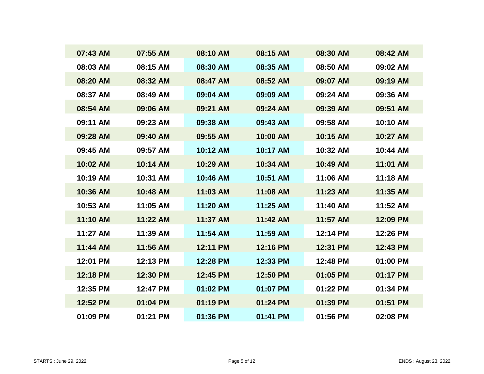| 07:43 AM | 07:55 AM | 08:10 AM | 08:15 AM | 08:30 AM | 08:42 AM |
|----------|----------|----------|----------|----------|----------|
| 08:03 AM | 08:15 AM | 08:30 AM | 08:35 AM | 08:50 AM | 09:02 AM |
| 08:20 AM | 08:32 AM | 08:47 AM | 08:52 AM | 09:07 AM | 09:19 AM |
| 08:37 AM | 08:49 AM | 09:04 AM | 09:09 AM | 09:24 AM | 09:36 AM |
| 08:54 AM | 09:06 AM | 09:21 AM | 09:24 AM | 09:39 AM | 09:51 AM |
| 09:11 AM | 09:23 AM | 09:38 AM | 09:43 AM | 09:58 AM | 10:10 AM |
| 09:28 AM | 09:40 AM | 09:55 AM | 10:00 AM | 10:15 AM | 10:27 AM |
| 09:45 AM | 09:57 AM | 10:12 AM | 10:17 AM | 10:32 AM | 10:44 AM |
| 10:02 AM | 10:14 AM | 10:29 AM | 10:34 AM | 10:49 AM | 11:01 AM |
| 10:19 AM | 10:31 AM | 10:46 AM | 10:51 AM | 11:06 AM | 11:18 AM |
| 10:36 AM | 10:48 AM | 11:03 AM | 11:08 AM | 11:23 AM | 11:35 AM |
| 10:53 AM | 11:05 AM | 11:20 AM | 11:25 AM | 11:40 AM | 11:52 AM |
| 11:10 AM | 11:22 AM | 11:37 AM | 11:42 AM | 11:57 AM | 12:09 PM |
| 11:27 AM | 11:39 AM | 11:54 AM | 11:59 AM | 12:14 PM | 12:26 PM |
| 11:44 AM | 11:56 AM | 12:11 PM | 12:16 PM | 12:31 PM | 12:43 PM |
| 12:01 PM | 12:13 PM | 12:28 PM | 12:33 PM | 12:48 PM | 01:00 PM |
| 12:18 PM | 12:30 PM | 12:45 PM | 12:50 PM | 01:05 PM | 01:17 PM |
| 12:35 PM | 12:47 PM | 01:02 PM | 01:07 PM | 01:22 PM | 01:34 PM |
| 12:52 PM | 01:04 PM | 01:19 PM | 01:24 PM | 01:39 PM | 01:51 PM |
| 01:09 PM | 01:21 PM | 01:36 PM | 01:41 PM | 01:56 PM | 02:08 PM |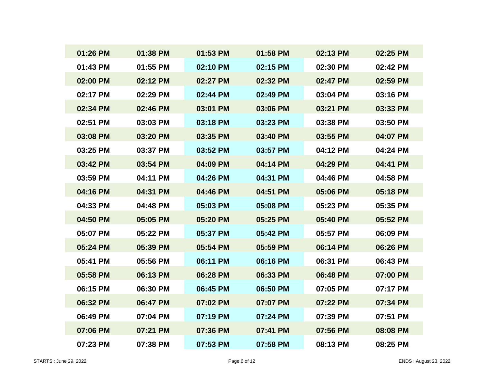| 01:26 PM | 01:38 PM | 01:53 PM | 01:58 PM | 02:13 PM | 02:25 PM |
|----------|----------|----------|----------|----------|----------|
| 01:43 PM | 01:55 PM | 02:10 PM | 02:15 PM | 02:30 PM | 02:42 PM |
| 02:00 PM | 02:12 PM | 02:27 PM | 02:32 PM | 02:47 PM | 02:59 PM |
| 02:17 PM | 02:29 PM | 02:44 PM | 02:49 PM | 03:04 PM | 03:16 PM |
| 02:34 PM | 02:46 PM | 03:01 PM | 03:06 PM | 03:21 PM | 03:33 PM |
| 02:51 PM | 03:03 PM | 03:18 PM | 03:23 PM | 03:38 PM | 03:50 PM |
| 03:08 PM | 03:20 PM | 03:35 PM | 03:40 PM | 03:55 PM | 04:07 PM |
| 03:25 PM | 03:37 PM | 03:52 PM | 03:57 PM | 04:12 PM | 04:24 PM |
| 03:42 PM | 03:54 PM | 04:09 PM | 04:14 PM | 04:29 PM | 04:41 PM |
| 03:59 PM | 04:11 PM | 04:26 PM | 04:31 PM | 04:46 PM | 04:58 PM |
| 04:16 PM | 04:31 PM | 04:46 PM | 04:51 PM | 05:06 PM | 05:18 PM |
| 04:33 PM | 04:48 PM | 05:03 PM | 05:08 PM | 05:23 PM | 05:35 PM |
| 04:50 PM | 05:05 PM | 05:20 PM | 05:25 PM | 05:40 PM | 05:52 PM |
| 05:07 PM | 05:22 PM | 05:37 PM | 05:42 PM | 05:57 PM | 06:09 PM |
| 05:24 PM | 05:39 PM | 05:54 PM | 05:59 PM | 06:14 PM | 06:26 PM |
| 05:41 PM | 05:56 PM | 06:11 PM | 06:16 PM | 06:31 PM | 06:43 PM |
| 05:58 PM | 06:13 PM | 06:28 PM | 06:33 PM | 06:48 PM | 07:00 PM |
| 06:15 PM | 06:30 PM | 06:45 PM | 06:50 PM | 07:05 PM | 07:17 PM |
| 06:32 PM | 06:47 PM | 07:02 PM | 07:07 PM | 07:22 PM | 07:34 PM |
| 06:49 PM | 07:04 PM | 07:19 PM | 07:24 PM | 07:39 PM | 07:51 PM |
| 07:06 PM | 07:21 PM | 07:36 PM | 07:41 PM | 07:56 PM | 08:08 PM |
| 07:23 PM | 07:38 PM | 07:53 PM | 07:58 PM | 08:13 PM | 08:25 PM |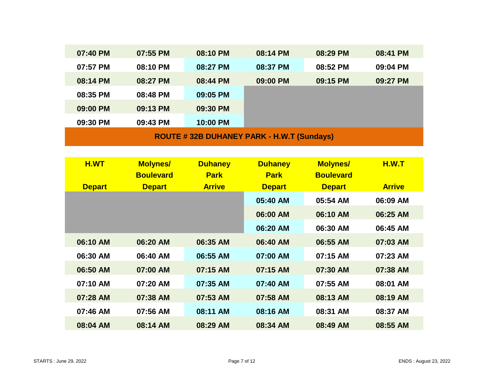| 07:40 PM                                         | 07:55 PM | 08:10 PM | 08:14 PM | 08:29 PM | 08:41 PM |  |  |  |
|--------------------------------------------------|----------|----------|----------|----------|----------|--|--|--|
| 07:57 PM                                         | 08:10 PM | 08:27 PM | 08:37 PM | 08:52 PM | 09:04 PM |  |  |  |
| 08:14 PM                                         | 08:27 PM | 08:44 PM | 09:00 PM | 09:15 PM | 09:27 PM |  |  |  |
| 08:35 PM                                         | 08:48 PM | 09:05 PM |          |          |          |  |  |  |
| 09:00 PM                                         | 09:13 PM | 09:30 PM |          |          |          |  |  |  |
| 09:30 PM                                         | 09:43 PM | 10:00 PM |          |          |          |  |  |  |
| <b>ROUTE #32B DUHANEY PARK - H.W.T (Sundays)</b> |          |          |          |          |          |  |  |  |

| H.WT          | <b>Molynes/</b>  | <b>Duhaney</b> | <b>Duhaney</b> | <b>Molynes/</b>  | <b>H.W.T</b>  |
|---------------|------------------|----------------|----------------|------------------|---------------|
|               | <b>Boulevard</b> | <b>Park</b>    | <b>Park</b>    | <b>Boulevard</b> |               |
| <b>Depart</b> | <b>Depart</b>    | <b>Arrive</b>  | <b>Depart</b>  | <b>Depart</b>    | <b>Arrive</b> |
|               |                  |                | 05:40 AM       | 05:54 AM         | 06:09 AM      |
|               |                  |                | 06:00 AM       | 06:10 AM         | 06:25 AM      |
|               |                  |                | 06:20 AM       | 06:30 AM         | 06:45 AM      |
| 06:10 AM      | 06:20 AM         | 06:35 AM       | 06:40 AM       | 06:55 AM         | 07:03 AM      |
| 06:30 AM      | 06:40 AM         | 06:55 AM       | 07:00 AM       | 07:15 AM         | 07:23 AM      |
| 06:50 AM      | 07:00 AM         | 07:15 AM       | 07:15 AM       | 07:30 AM         | 07:38 AM      |
| 07:10 AM      | 07:20 AM         | 07:35 AM       | 07:40 AM       | 07:55 AM         | 08:01 AM      |
| 07:28 AM      | 07:38 AM         | 07:53 AM       | 07:58 AM       | 08:13 AM         | 08:19 AM      |
| 07:46 AM      | 07:56 AM         | 08:11 AM       | 08:16 AM       | 08:31 AM         | 08:37 AM      |
| 08:04 AM      | 08:14 AM         | 08:29 AM       | 08:34 AM       | 08:49 AM         | 08:55 AM      |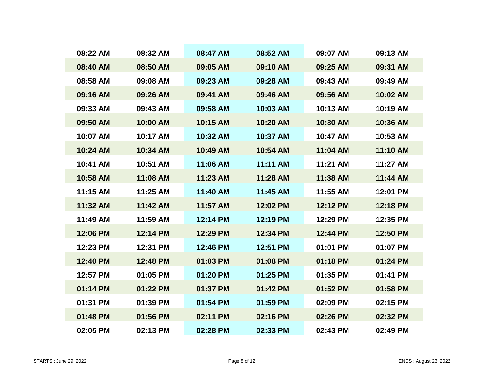| 08:22 AM | 08:32 AM | 08:47 AM | 08:52 AM | 09:07 AM | 09:13 AM |
|----------|----------|----------|----------|----------|----------|
| 08:40 AM | 08:50 AM | 09:05 AM | 09:10 AM | 09:25 AM | 09:31 AM |
| 08:58 AM | 09:08 AM | 09:23 AM | 09:28 AM | 09:43 AM | 09:49 AM |
| 09:16 AM | 09:26 AM | 09:41 AM | 09:46 AM | 09:56 AM | 10:02 AM |
| 09:33 AM | 09:43 AM | 09:58 AM | 10:03 AM | 10:13 AM | 10:19 AM |
| 09:50 AM | 10:00 AM | 10:15 AM | 10:20 AM | 10:30 AM | 10:36 AM |
| 10:07 AM | 10:17 AM | 10:32 AM | 10:37 AM | 10:47 AM | 10:53 AM |
| 10:24 AM | 10:34 AM | 10:49 AM | 10:54 AM | 11:04 AM | 11:10 AM |
| 10:41 AM | 10:51 AM | 11:06 AM | 11:11 AM | 11:21 AM | 11:27 AM |
| 10:58 AM | 11:08 AM | 11:23 AM | 11:28 AM | 11:38 AM | 11:44 AM |
| 11:15 AM | 11:25 AM | 11:40 AM | 11:45 AM | 11:55 AM | 12:01 PM |
| 11:32 AM | 11:42 AM | 11:57 AM | 12:02 PM | 12:12 PM | 12:18 PM |
| 11:49 AM | 11:59 AM | 12:14 PM | 12:19 PM | 12:29 PM | 12:35 PM |
| 12:06 PM | 12:14 PM | 12:29 PM | 12:34 PM | 12:44 PM | 12:50 PM |
| 12:23 PM | 12:31 PM | 12:46 PM | 12:51 PM | 01:01 PM | 01:07 PM |
| 12:40 PM | 12:48 PM | 01:03 PM | 01:08 PM | 01:18 PM | 01:24 PM |
| 12:57 PM | 01:05 PM | 01:20 PM | 01:25 PM | 01:35 PM | 01:41 PM |
| 01:14 PM | 01:22 PM | 01:37 PM | 01:42 PM | 01:52 PM | 01:58 PM |
| 01:31 PM | 01:39 PM | 01:54 PM | 01:59 PM | 02:09 PM | 02:15 PM |
| 01:48 PM | 01:56 PM | 02:11 PM | 02:16 PM | 02:26 PM | 02:32 PM |
| 02:05 PM | 02:13 PM | 02:28 PM | 02:33 PM | 02:43 PM | 02:49 PM |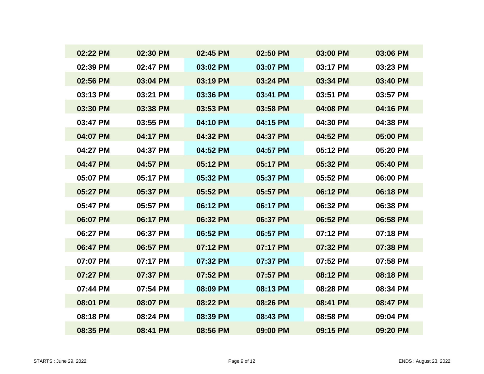| 02:22 PM | 02:30 PM | 02:45 PM | 02:50 PM | 03:00 PM | 03:06 PM |
|----------|----------|----------|----------|----------|----------|
| 02:39 PM | 02:47 PM | 03:02 PM | 03:07 PM | 03:17 PM | 03:23 PM |
| 02:56 PM | 03:04 PM | 03:19 PM | 03:24 PM | 03:34 PM | 03:40 PM |
| 03:13 PM | 03:21 PM | 03:36 PM | 03:41 PM | 03:51 PM | 03:57 PM |
| 03:30 PM | 03:38 PM | 03:53 PM | 03:58 PM | 04:08 PM | 04:16 PM |
| 03:47 PM | 03:55 PM | 04:10 PM | 04:15 PM | 04:30 PM | 04:38 PM |
| 04:07 PM | 04:17 PM | 04:32 PM | 04:37 PM | 04:52 PM | 05:00 PM |
| 04:27 PM | 04:37 PM | 04:52 PM | 04:57 PM | 05:12 PM | 05:20 PM |
| 04:47 PM | 04:57 PM | 05:12 PM | 05:17 PM | 05:32 PM | 05:40 PM |
| 05:07 PM | 05:17 PM | 05:32 PM | 05:37 PM | 05:52 PM | 06:00 PM |
| 05:27 PM | 05:37 PM | 05:52 PM | 05:57 PM | 06:12 PM | 06:18 PM |
| 05:47 PM | 05:57 PM | 06:12 PM | 06:17 PM | 06:32 PM | 06:38 PM |
| 06:07 PM | 06:17 PM | 06:32 PM | 06:37 PM | 06:52 PM | 06:58 PM |
| 06:27 PM | 06:37 PM | 06:52 PM | 06:57 PM | 07:12 PM | 07:18 PM |
| 06:47 PM | 06:57 PM | 07:12 PM | 07:17 PM | 07:32 PM | 07:38 PM |
| 07:07 PM | 07:17 PM | 07:32 PM | 07:37 PM | 07:52 PM | 07:58 PM |
| 07:27 PM | 07:37 PM | 07:52 PM | 07:57 PM | 08:12 PM | 08:18 PM |
| 07:44 PM | 07:54 PM | 08:09 PM | 08:13 PM | 08:28 PM | 08:34 PM |
| 08:01 PM | 08:07 PM | 08:22 PM | 08:26 PM | 08:41 PM | 08:47 PM |
| 08:18 PM | 08:24 PM | 08:39 PM | 08:43 PM | 08:58 PM | 09:04 PM |
| 08:35 PM | 08:41 PM | 08:56 PM | 09:00 PM | 09:15 PM | 09:20 PM |
|          |          |          |          |          |          |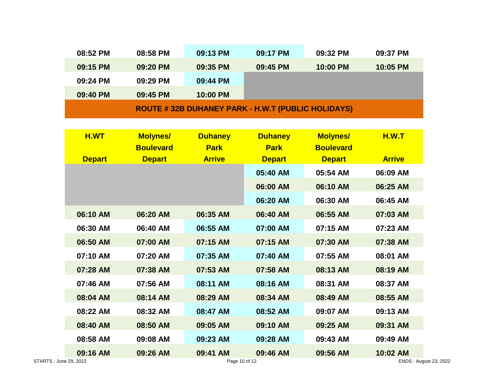| 08:52 PM                                                 | 08:58 PM | 09:13 PM | 09:17 PM | 09:32 PM | 09:37 PM |  |  |
|----------------------------------------------------------|----------|----------|----------|----------|----------|--|--|
| 09:15 PM                                                 | 09:20 PM | 09:35 PM | 09:45 PM | 10:00 PM | 10:05 PM |  |  |
| 09:24 PM                                                 | 09:29 PM | 09:44 PM |          |          |          |  |  |
| 09:40 PM                                                 | 09:45 PM | 10:00 PM |          |          |          |  |  |
| <b>ROUTE #32B DUHANEY PARK - H.W.T (PUBLIC HOLIDAYS)</b> |          |          |          |          |          |  |  |

| H.WT                  | <b>Molynes/</b>  | <b>Duhaney</b> | <b>Duhaney</b> | <b>Molynes/</b>  | <b>H.W.T</b>          |
|-----------------------|------------------|----------------|----------------|------------------|-----------------------|
|                       | <b>Boulevard</b> | <b>Park</b>    | <b>Park</b>    | <b>Boulevard</b> |                       |
| <b>Depart</b>         | <b>Depart</b>    | <b>Arrive</b>  | <b>Depart</b>  | <b>Depart</b>    | <b>Arrive</b>         |
|                       |                  |                | 05:40 AM       | 05:54 AM         | 06:09 AM              |
|                       |                  |                | 06:00 AM       | 06:10 AM         | 06:25 AM              |
|                       |                  |                | 06:20 AM       | 06:30 AM         | 06:45 AM              |
| 06:10 AM              | 06:20 AM         | 06:35 AM       | 06:40 AM       | 06:55 AM         | 07:03 AM              |
| 06:30 AM              | 06:40 AM         | 06:55 AM       | 07:00 AM       | 07:15 AM         | 07:23 AM              |
| 06:50 AM              | 07:00 AM         | 07:15 AM       | 07:15 AM       | 07:30 AM         | 07:38 AM              |
| 07:10 AM              | 07:20 AM         | 07:35 AM       | 07:40 AM       | 07:55 AM         | 08:01 AM              |
| 07:28 AM              | 07:38 AM         | 07:53 AM       | 07:58 AM       | 08:13 AM         | 08:19 AM              |
| 07:46 AM              | 07:56 AM         | 08:11 AM       | 08:16 AM       | 08:31 AM         | 08:37 AM              |
| 08:04 AM              | 08:14 AM         | 08:29 AM       | 08:34 AM       | 08:49 AM         | 08:55 AM              |
| 08:22 AM              | 08:32 AM         | 08:47 AM       | 08:52 AM       | 09:07 AM         | 09:13 AM              |
| 08:40 AM              | 08:50 AM         | 09:05 AM       | 09:10 AM       | 09:25 AM         | 09:31 AM              |
| 08:58 AM              | 09:08 AM         | 09:23 AM       | 09:28 AM       | 09:43 AM         | 09:49 AM              |
| 09:16 AM              | 09:26 AM         | 09:41 AM       | 09:46 AM       | 09:56 AM         | 10:02 AM              |
| STARTS: June 29, 2022 |                  | Page 10 of 12  |                |                  | ENDS: August 23, 2022 |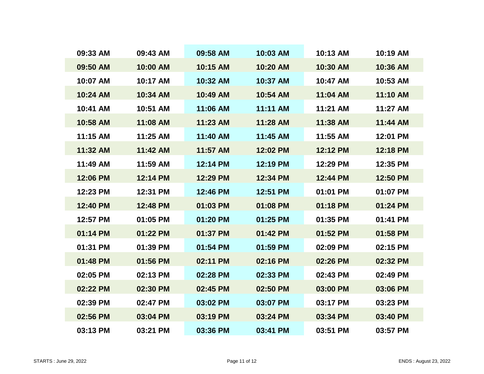| 09:33 AM | 09:43 AM | 09:58 AM | 10:03 AM | 10:13 AM | 10:19 AM |
|----------|----------|----------|----------|----------|----------|
| 09:50 AM | 10:00 AM | 10:15 AM | 10:20 AM | 10:30 AM | 10:36 AM |
| 10:07 AM | 10:17 AM | 10:32 AM | 10:37 AM | 10:47 AM | 10:53 AM |
| 10:24 AM | 10:34 AM | 10:49 AM | 10:54 AM | 11:04 AM | 11:10 AM |
| 10:41 AM | 10:51 AM | 11:06 AM | 11:11 AM | 11:21 AM | 11:27 AM |
| 10:58 AM | 11:08 AM | 11:23 AM | 11:28 AM | 11:38 AM | 11:44 AM |
| 11:15 AM | 11:25 AM | 11:40 AM | 11:45 AM | 11:55 AM | 12:01 PM |
| 11:32 AM | 11:42 AM | 11:57 AM | 12:02 PM | 12:12 PM | 12:18 PM |
| 11:49 AM | 11:59 AM | 12:14 PM | 12:19 PM | 12:29 PM | 12:35 PM |
| 12:06 PM | 12:14 PM | 12:29 PM | 12:34 PM | 12:44 PM | 12:50 PM |
| 12:23 PM | 12:31 PM | 12:46 PM | 12:51 PM | 01:01 PM | 01:07 PM |
| 12:40 PM | 12:48 PM | 01:03 PM | 01:08 PM | 01:18 PM | 01:24 PM |
| 12:57 PM | 01:05 PM | 01:20 PM | 01:25 PM | 01:35 PM | 01:41 PM |
| 01:14 PM | 01:22 PM | 01:37 PM | 01:42 PM | 01:52 PM | 01:58 PM |
| 01:31 PM | 01:39 PM | 01:54 PM | 01:59 PM | 02:09 PM | 02:15 PM |
| 01:48 PM | 01:56 PM | 02:11 PM | 02:16 PM | 02:26 PM | 02:32 PM |
| 02:05 PM | 02:13 PM | 02:28 PM | 02:33 PM | 02:43 PM | 02:49 PM |
| 02:22 PM | 02:30 PM | 02:45 PM | 02:50 PM | 03:00 PM | 03:06 PM |
| 02:39 PM | 02:47 PM | 03:02 PM | 03:07 PM | 03:17 PM | 03:23 PM |
| 02:56 PM | 03:04 PM | 03:19 PM | 03:24 PM | 03:34 PM | 03:40 PM |
| 03:13 PM | 03:21 PM | 03:36 PM | 03:41 PM | 03:51 PM | 03:57 PM |